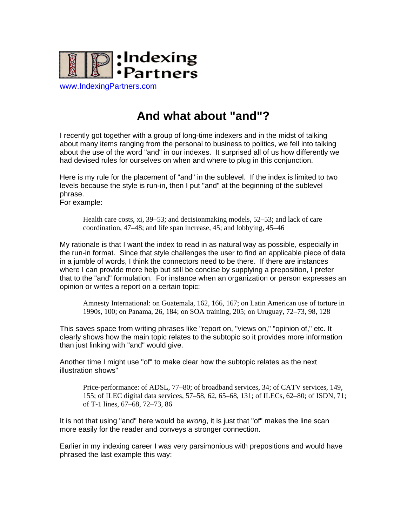

## **And what about "and"?**

I recently got together with a group of long-time indexers and in the midst of talking about many items ranging from the personal to business to politics, we fell into talking about the use of the word "and" in our indexes. It surprised all of us how differently we had devised rules for ourselves on when and where to plug in this conjunction.

Here is my rule for the placement of "and" in the sublevel. If the index is limited to two levels because the style is run-in, then I put "and" at the beginning of the sublevel phrase.

For example:

Health care costs, xi, 39–53; and decisionmaking models, 52–53; and lack of care coordination, 47–48; and life span increase, 45; and lobbying, 45–46

My rationale is that I want the index to read in as natural way as possible, especially in the run-in format. Since that style challenges the user to find an applicable piece of data in a jumble of words, I think the connectors need to be there. If there are instances where I can provide more help but still be concise by supplying a preposition, I prefer that to the "and" formulation. For instance when an organization or person expresses an opinion or writes a report on a certain topic:

Amnesty International: on Guatemala, 162, 166, 167; on Latin American use of torture in 1990s, 100; on Panama, 26, 184; on SOA training, 205; on Uruguay, 72–73, 98, 128

This saves space from writing phrases like "report on, "views on," "opinion of," etc. It clearly shows how the main topic relates to the subtopic so it provides more information than just linking with "and" would give.

Another time I might use "of" to make clear how the subtopic relates as the next illustration shows"

Price-performance: of ADSL, 77–80; of broadband services, 34; of CATV services, 149, 155; of ILEC digital data services, 57–58, 62, 65–68, 131; of ILECs, 62–80; of ISDN, 71; of T-1 lines, 67–68, 72–73, 86

It is not that using "and" here would be *wrong*, it is just that "of" makes the line scan more easily for the reader and conveys a stronger connection.

Earlier in my indexing career I was very parsimonious with prepositions and would have phrased the last example this way: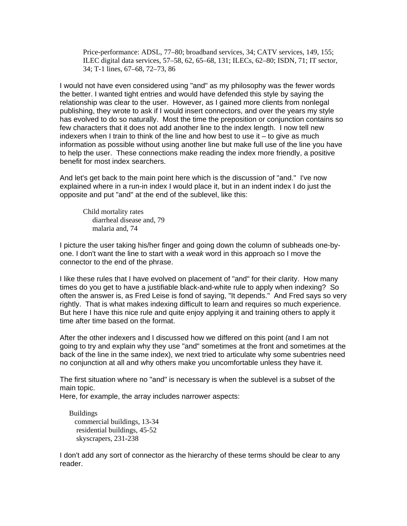Price-performance: ADSL, 77–80; broadband services, 34; CATV services, 149, 155; ILEC digital data services, 57–58, 62, 65–68, 131; ILECs, 62–80; ISDN, 71; IT sector, 34; T-1 lines, 67–68, 72–73, 86

I would not have even considered using "and" as my philosophy was the fewer words the better. I wanted tight entries and would have defended this style by saying the relationship was clear to the user. However, as I gained more clients from nonlegal publishing, they wrote to ask if I would insert connectors, and over the years my style has evolved to do so naturally. Most the time the preposition or conjunction contains so few characters that it does not add another line to the index length. I now tell new indexers when I train to think of the line and how best to use it  $-$  to give as much information as possible without using another line but make full use of the line you have to help the user. These connections make reading the index more friendly, a positive benefit for most index searchers.

And let's get back to the main point here which is the discussion of "and." I've now explained where in a run-in index I would place it, but in an indent index I do just the opposite and put "and" at the end of the sublevel, like this:

Child mortality rates diarrheal disease and, 79 malaria and, 74

I picture the user taking his/her finger and going down the column of subheads one-byone. I don't want the line to start with a *weak* word in this approach so I move the connector to the end of the phrase.

I like these rules that I have evolved on placement of "and" for their clarity. How many times do you get to have a justifiable black-and-white rule to apply when indexing? So often the answer is, as Fred Leise is fond of saying, "It depends." And Fred says so very rightly. That is what makes indexing difficult to learn and requires so much experience. But here I have this nice rule and quite enjoy applying it and training others to apply it time after time based on the format.

After the other indexers and I discussed how we differed on this point (and I am not going to try and explain why they use "and" sometimes at the front and sometimes at the back of the line in the same index), we next tried to articulate why some subentries need no conjunction at all and why others make you uncomfortable unless they have it.

The first situation where no "and" is necessary is when the sublevel is a subset of the main topic.

Here, for example, the array includes narrower aspects:

Buildings commercial buildings, 13-34 residential buildings, 45-52 skyscrapers, 231-238

I don't add any sort of connector as the hierarchy of these terms should be clear to any reader.